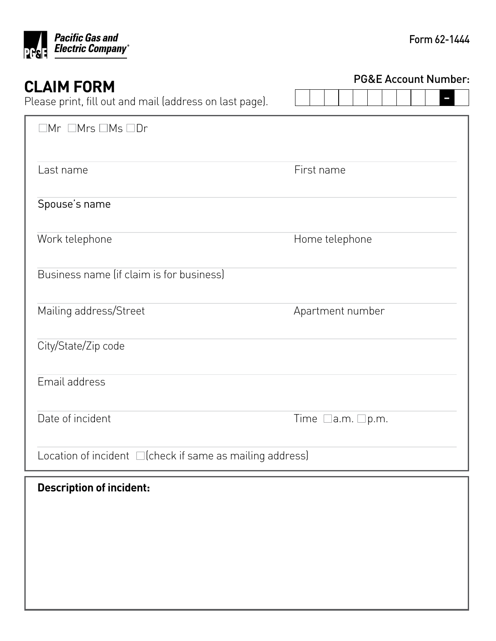

| <b>CLAIM FORM</b>                                              | <b>PG&amp;E Account Number:</b> |  |  |  |
|----------------------------------------------------------------|---------------------------------|--|--|--|
| Please print, fill out and mail (address on last page).        |                                 |  |  |  |
| $\Box$ Mr $\Box$ Mrs $\Box$ Ms $\Box$ Dr                       |                                 |  |  |  |
| Last name                                                      | First name                      |  |  |  |
| Spouse's name                                                  |                                 |  |  |  |
| Work telephone                                                 | Home telephone                  |  |  |  |
| Business name (if claim is for business)                       |                                 |  |  |  |
| Mailing address/Street                                         | Apartment number                |  |  |  |
| City/State/Zip code                                            |                                 |  |  |  |
| Email address                                                  |                                 |  |  |  |
| Date of incident                                               | Time<br> a.m. □p.m.             |  |  |  |
| Location of incident $\Box$ (check if same as mailing address) |                                 |  |  |  |
| <b>Description of incident:</b>                                |                                 |  |  |  |
|                                                                |                                 |  |  |  |
|                                                                |                                 |  |  |  |
|                                                                |                                 |  |  |  |
|                                                                |                                 |  |  |  |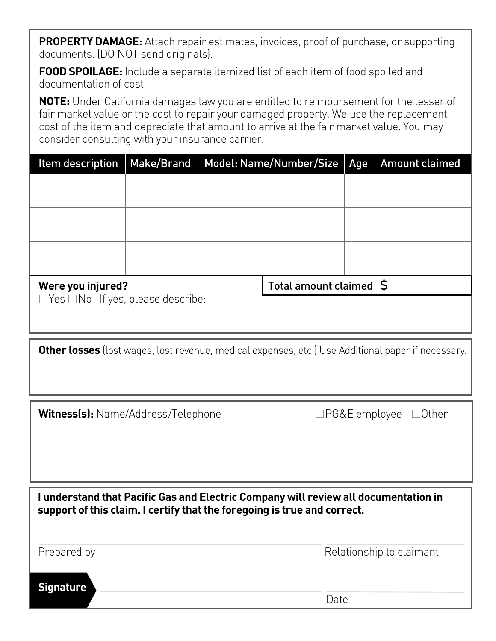**PROPERTY DAMAGE:** Attach repair estimates, invoices, proof of purchase, or supporting documents. (DO NOT send originals).

**FOOD SPOILAGE:** Include a separate itemized list of each item of food spoiled and documentation of cost.

**NOTE:** Under California damages law you are entitled to reimbursement for the lesser of fair market value or the cost to repair your damaged property. We use the replacement cost of the item and depreciate that amount to arrive at the fair market value. You may consider consulting with your insurance carrier.

|                   | Item description   Make/Brand   Model: Name/Number/Size   Age | <b>Amount claimed</b> |
|-------------------|---------------------------------------------------------------|-----------------------|
|                   |                                                               |                       |
|                   |                                                               |                       |
|                   |                                                               |                       |
|                   |                                                               |                       |
|                   |                                                               |                       |
|                   |                                                               |                       |
| Ware vou injurad? | Total amount claimed $\phi$                                   |                       |

#### **Were you injured?**

Total amount claimed  $\phi$ 

 $\Box$  Yes  $\Box$  No If yes, please describe:

**Other losses** (lost wages, lost revenue, medical expenses, etc.) Use Additional paper if necessary.

**Witness(s):** Name/Address/Telephone

 $\Box$ PG&E employee  $\Box$ Other

**I understand that Pacific Gas and Electric Company will review all documentation in support of this claim. I certify that the foregoing is true and correct.** 

Prepared by **Relationship to claimant** 

**Signature** 

Date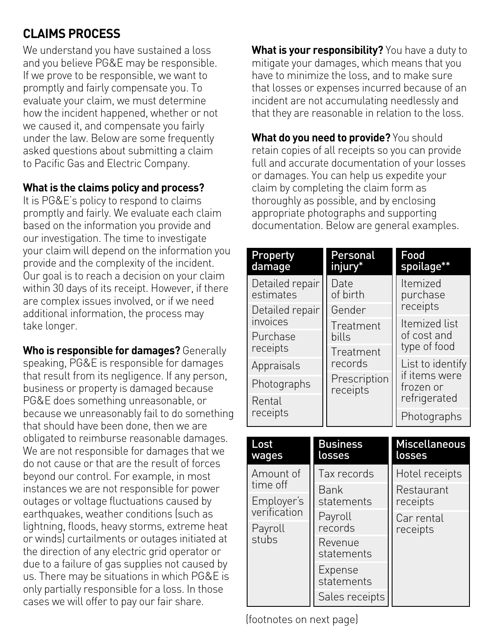# **CLAIMS PROCESS**

We understand you have sustained a loss and you believe PG&E may be responsible. If we prove to be responsible, we want to promptly and fairly compensate you. To evaluate your claim, we must determine how the incident happened, whether or not we caused it, and compensate you fairly under the law. Below are some frequently asked questions about submitting a claim to Pacific Gas and Electric Company.

#### **What is the claims policy and process?**

It is PG&E's policy to respond to claims promptly and fairly. We evaluate each claim based on the information you provide and our investigation. The time to investigate your claim will depend on the information you provide and the complexity of the incident. Our goal is to reach a decision on your claim within 30 days of its receipt. However, if there are complex issues involved, or if we need additional information, the process may take longer.

**Who is responsible for damages?** Generally speaking, PG&E is responsible for damages that result from its negligence. If any person, business or property is damaged because PG&E does something unreasonable, or because we unreasonably fail to do something that should have been done, then we are obligated to reimburse reasonable damages. We are not responsible for damages that we do not cause or that are the result of forces beyond our control. For example, in most instances we are not responsible for power outages or voltage fluctuations caused by earthquakes, weather conditions (such as lightning, floods, heavy storms, extreme heat or winds) curtailments or outages initiated at the direction of any electric grid operator or due to a failure of gas supplies not caused by us. There may be situations in which PG&E is only partially responsible for a loss. In those cases we will offer to pay our fair share.

**What is your responsibility?** You have a duty to mitigate your damages, which means that you have to minimize the loss, and to make sure that losses or expenses incurred because of an incident are not accumulating needlessly and that they are reasonable in relation to the loss.

**What do you need to provide?** You should retain copies of all receipts so you can provide full and accurate documentation of your losses or damages. You can help us expedite your claim by completing the claim form as thoroughly as possible, and by enclosing appropriate photographs and supporting documentation. Below are general examples.

| <b>Property</b><br>damage    | Personal<br>injury <sup>*</sup> | Food<br>spoilage**          |  |  |
|------------------------------|---------------------------------|-----------------------------|--|--|
| Detailed repair<br>estimates | Date<br>of birth                | Itemized<br>purchase        |  |  |
| Detailed repair              | Gender                          | receipts                    |  |  |
| invoices                     | Treatment                       | Itemized list               |  |  |
| Purchase<br>receipts         | bills                           | of cost and<br>type of food |  |  |
|                              | Treatment<br>records            |                             |  |  |
| Appraisals                   |                                 | List to identify            |  |  |
| Photographs                  | Prescription<br>receipts        | if items were<br>frozen or  |  |  |
| Rental                       |                                 | refrigerated                |  |  |
| receipts                     |                                 | Photographs                 |  |  |

| Lost<br>wages | <b>Business</b><br>losses | <b>Miscellaneous</b><br>losses |  |  |
|---------------|---------------------------|--------------------------------|--|--|
| Amount of     | Tax records               | Hotel receipts                 |  |  |
| time off      | Bank                      | Restaurant                     |  |  |
| Employer's    | statements                | receipts                       |  |  |
| verification  | Payroll                   | Car rental                     |  |  |
| Payroll       | records                   | receipts                       |  |  |
| stubs         | Revenue<br>statements     |                                |  |  |
|               | Expense<br>statements     |                                |  |  |
|               | Sales receipts            |                                |  |  |

(footnotes on next page)